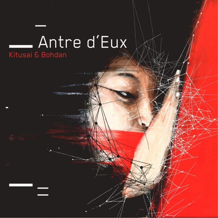# **Antre d'Eux**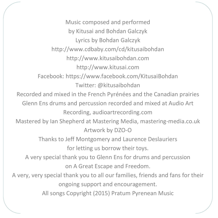Music composed and performed by Kitusai and Bohdan Galczyk Lyrics by Bohdan Galczyk http://www.cdbaby.com/cd/kitusaibohdan http://www.kitusaibohdan.com http://www.kitusai.com Facebook: https://www.facebook.com/KitusaiBohdan Twitter: @kitusaibohdan Recorded and mixed in the French Pyrénées and the Canadian prairies Glenn Ens drums and percussion recorded and mixed at Audio Art Recording, audioartrecording.com Mastered by Ian Shepherd at Mastering Media, mastering-media.co.uk Artwork by DZO-O Thanks to Jeff Montgomery and Laurence Deslauriers for letting us borrow their toys. A very special thank you to Glenn Ens for drums and percussion on A Great Escape and Freedom. A very, very special thank you to all our families, friends and fans for their ongoing support and encouragement. All songs Copyright (2015) Pratum Pyrenean Music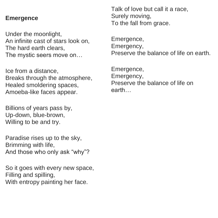#### **Emergence**

Under the moonlight, An infinite cast of stars look on, The hard earth clears, The mystic seers move on…

Ice from a distance, Breaks through the atmosphere, Healed smoldering spaces, Amoeba-like faces appear.

Billions of years pass by, Up-down, blue-brown, Willing to be and try.

Paradise rises up to the sky, Brimming with life, And those who only ask "why"?

So it goes with every new space, Filling and spilling, With entropy painting her face.

Talk of love but call it a race, Surely moving, To the fall from grace.

Emergence, Emergency, Preserve the balance of life on earth.

Emergence, Emergency, Preserve the balance of life on earth…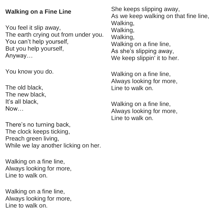#### **Walking on a Fine Line**

You feel it slip away, The earth crying out from under you. You can't help yourself, But you help yourself, Anyway…

You know you do.

The old black, The new black, It's all black, Now…

There's no turning back, The clock keeps ticking, Preach green living, While we lay another licking on her.

Walking on a fine line, Always looking for more, Line to walk on.

Walking on a fine line, Always looking for more, Line to walk on.

She keeps slipping away, As we keep walking on that fine line, Walking, Walking Walking, Walking on a fine line, As she's slipping away, We keep slippin' it to her.

Walking on a fine line, Always looking for more, Line to walk on.

Walking on a fine line. Always looking for more, Line to walk on.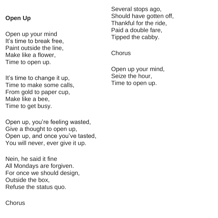#### **Open Up**

Open up your mind It's time to break free, Paint outside the line, Make like a flower, Time to open up.

It's time to change it up, Time to make some calls, From gold to paper cup, Make like a bee, Time to get busy.

Open up, you're feeling wasted, Give a thought to open up, Open up, and once you've tasted, You will never, ever give it up.

Nein, he said it fine All Mondays are forgiven. For once we should design, Outside the box, Refuse the status quo.

Several stops ago, Should have gotten off. Thankful for the ride, Paid a double fare, Tipped the cabby.

**Chorus** 

Open up your mind, Seize the hour, Time to open up.

**Chorus**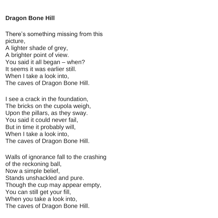#### **Dragon Bone Hill**

There's something missing from this picture, A lighter shade of grey, A brighter point of view. You said it all began – when? It seems it was earlier still. When I take a look into, The caves of Dragon Bone Hill.

I see a crack in the foundation, The bricks on the cupola weigh, Upon the pillars, as they sway. You said it could never fail, But in time it probably will, When I take a look into. The caves of Dragon Bone Hill.

Walls of ignorance fall to the crashing of the reckoning ball, Now a simple belief, Stands unshackled and pure. Though the cup may appear empty, You can still get your fill, When you take a look into, The caves of Dragon Bone Hill.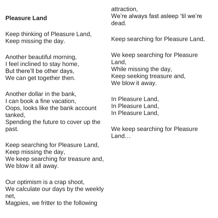#### **Pleasure Land**

Keep thinking of Pleasure Land, Keep missing the day.

Another beautiful morning, I feel inclined to stay home, But there'll be other days, We can get together then.

Another dollar in the bank, I can book a fine vacation, Oops, looks like the bank account tanked,

Spending the future to cover up the past.

Keep searching for Pleasure Land, Keep missing the day, We keep searching for treasure and. We blow it all away.

Our optimism is a crap shoot, We calculate our days by the weekly net,

Magpies, we fritter to the following

attraction, We're always fast asleep 'til we're dead.

Keep searching for Pleasure Land,

We keep searching for Pleasure Land, While missing the day, Keep seeking treasure and, We blow it away.

In Pleasure Land, In Pleasure Land, In Pleasure Land,

We keep searching for Pleasure Land…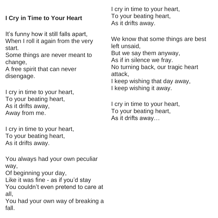### **I Cry in Time to Your Heart**

It's funny how it still falls apart, When I roll it again from the very start.

Some things are never meant to change,

A free spirit that can never disengage.

I cry in time to your heart, To your beating heart, As it drifts away, Away from me.

I cry in time to your heart, To your beating heart, As it drifts away.

You always had your own peculiar way, Of beginning your day, Like it was fine - as if you'd stay You couldn't even pretend to care at all,

You had your own way of breaking a fall.

I cry in time to your heart, To your beating heart, As it drifts away.

We know that some things are best left unsaid, But we say them anyway, As if in silence we fray. No turning back, our tragic heart attack, I keep wishing that day away, I keep wishing it away.

I cry in time to your heart, To your beating heart, As it drifts away…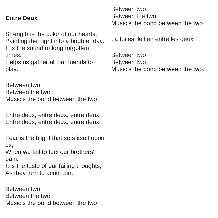#### **Entre Deux**

Strength is the color of our hearts, Painting the night into a brighter day. It is the sound of long forgotten times, Helps us gather all our friends to

play.

Between two, Between the two, Music's the bond between the two

Entre deux, entre deux, entre deux, Entre deux, entre deux, entre deux.

Fear is the blight that sets itself upon us,

When we fail to feel our brothers' pain.

It is the taste of our failing thoughts, As they turn to acrid rain.

Between two, Between the two, Music's the bond between the two… Between two, Between the two, Music's the bond between the two…

La foi est le lien entre les deux

Between two, Between two, Music's the bond between the two.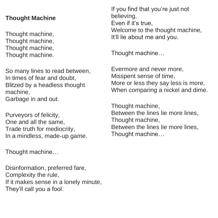#### **Thought Machine**

Thought machine, Thought machine, Thought machine, Thought machine.

So many lines to read between, In times of fear and doubt, Blitzed by a headless thought machine, Garbage in and out.

Purveyors of felicity, One and all the same, Trade truth for mediocrity, In a mindless, made-up game.

Thought machine…

Disinformation, preferred fare, Complexity the rule, If it makes sense in a lonely minute, They'll call you a fool.

If you find that you're just not believing, Even if it's true, Welcome to the thought machine. It'll lie about me and you.

Thought machine…

Evermore and never more, Misspent sense of time, More or less they say less is more, When comparing a nickel and dime.

Thought machine, Between the lines lie more lines, Thought machine, Between the lines lie more lines, Thought machine…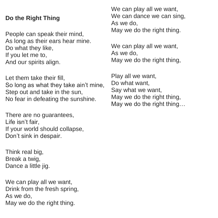#### **Do the Right Thing**

People can speak their mind, As long as their ears hear mine. Do what they like, If you let me to, And our spirits align.

Let them take their fill, So long as what they take ain't mine, Step out and take in the sun, No fear in defeating the sunshine.

There are no quarantees. Life isn't fair, If your world should collapse, Don't sink in despair.

Think real big, Break a twig, Dance a little jig.

We can play all we want, Drink from the fresh spring, As we do, May we do the right thing.

We can play all we want, We can dance we can sing, As we do, May we do the right thing.

We can play all we want, As we do, May we do the right thing,

Play all we want, Do what want, Say what we want, May we do the right thing. May we do the right thing…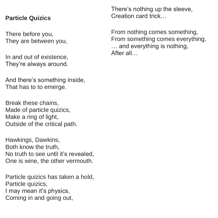#### **Particle Quizics**

There before you, They are between you,

In and out of existence, They're always around.

And there's something inside, That has to to emerge.

Break these chains, Made of particle quizics. Make a ring of light, Outside of the critical path.

Hawkings, Dawkins, Both know the truth, No truth to see until it's revealed, One is wine, the other vermouth.

Particle quizics has taken a hold, Particle quizics, I may mean it's physics, Coming in and going out,

There's nothing up the sleeve, Creation card trick…

From nothing comes something, From something comes everything, … and everything is nothing, After all…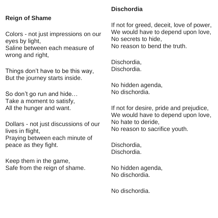#### **Reign of Shame**

Colors - not just impressions on our eyes by light, Saline between each measure of wrong and right,

Things don't have to be this way, But the journey starts inside.

So don't go run and hide… Take a moment to satisfy, All the hunger and want.

Dollars - not just discussions of our lives in flight, Praying between each minute of peace as they fight.

Keep them in the game, Safe from the reign of shame.

#### **Dischordia**

If not for greed, deceit, love of power, We would have to depend upon love, No secrets to hide, No reason to bend the truth.

Dischordia, Dischordia.

No hidden agenda, No dischordia.

If not for desire, pride and prejudice, We would have to depend upon love, No hate to deride, No reason to sacrifice youth.

Dischordia, Dischordia.

No hidden agenda, No dischordia.

No dischordia.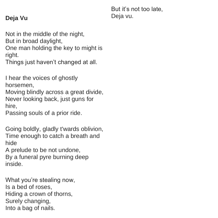#### **Deja Vu**

But it's not too late, Deja vu.

Not in the middle of the night,

But in broad daylight,

One man holding the key to might is right.

Things just haven't changed at all.

I hear the voices of ghostly horsemen,

Moving blindly across a great divide, Never looking back, just guns for hire,

Passing souls of a prior ride.

Going boldly, gladly t'wards oblivion, Time enough to catch a breath and hide

A prelude to be not undone,

By a funeral pyre burning deep inside.

What you're stealing now, Is a bed of roses, Hiding a crown of thorns, Surely changing, Into a bag of nails.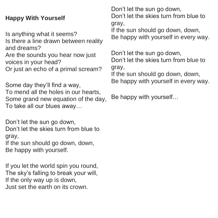#### **Happy With Yourself**

Is anything what it seems? Is there a line drawn between reality and dreams? Are the sounds you hear now just voices in your head? Or just an echo of a primal scream?

Some day they'll find a way, To mend all the holes in our hearts, Some grand new equation of the day, To take all our blues away…

Don't let the sun go down, Don't let the skies turn from blue to gray,

If the sun should go down, down, Be happy with yourself.

If you let the world spin you round. The sky's falling to break your will, If the only way up is down, Just set the earth on its crown.

Don't let the sun go down.

Don't let the skies turn from blue to gray,

If the sun should go down, down, Be happy with yourself in every way.

Don't let the sun go down. Don't let the skies turn from blue to gray,

If the sun should go down, down, Be happy with yourself in every way.

Be happy with yourself…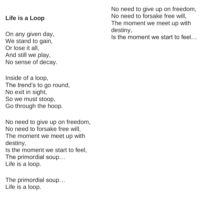#### **Life is a Loop**

On any given day, We stand to gain, Or lose it all, And still we play, No sense of decay.

Inside of a loop, The trend's to go round, No exit in sight, So we must stoop, Go through the hoop.

No need to give up on freedom, No need to forsake free will, The moment we meet up with destiny, Is the moment we start to feel, The primordial soup… Life is a loop.

The primordial soup… Life is a loop.

No need to give up on freedom, No need to forsake free will, The moment we meet up with destiny,

Is the moment we start to feel…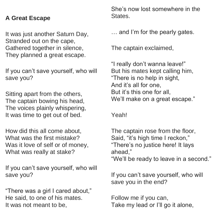#### **A Great Escape**

It was just another Saturn Day, Stranded out on the cape, Gathered together in silence, They planned a great escape.

If you can't save yourself, who will save you?

Sitting apart from the others, The captain bowing his head, The voices plainly whispering, It was time to get out of bed.

How did this all come about, What was the first mistake? Was it love of self or of money, What was really at stake?

If you can't save yourself, who will save you?

"There was a girl I cared about," He said, to one of his mates. It was not meant to be,

She's now lost somewhere in the **States** 

… and I'm for the pearly gates.

The captain exclaimed,

"I really don't wanna leave!" But his mates kept calling him, "There is no help in sight, And it's all for one, But it's this one for all, We'll make on a great escape."

Yeah!

The captain rose from the floor, Said, "it's high time I reckon," "There's no justice here! It lays ahead,"

"We'll be ready to leave in a second."

If you can't save yourself, who will save you in the end?

Follow me if you can, Take my lead or I'll go it alone,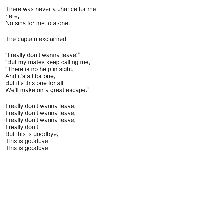There was never a chance for me here, No sins for me to atone.

The captain exclaimed,

"I really don't wanna leave!" "But my mates keep calling me," "There is no help in sight, And it's all for one, But it's this one for all, We'll make on a great escape."

I really don't wanna leave, I really don't wanna leave, I really don't wanna leave, I really don't, But this is goodbye, This is goodbye This is goodbye…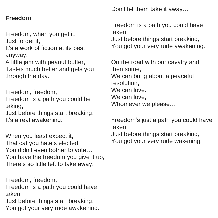#### **Freedom**

Freedom, when you get it, Just forget it,

It's a work of fiction at its best anyway.

A little jam with peanut butter, Tastes much better and gets you through the day.

Freedom, freedom,

Freedom is a path you could be taking,

Just before things start breaking, It's a real awakening.

When you least expect it, That cat you hate's elected, You didn't even bother to vote… You have the freedom you give it up, There's so little left to take away.

Freedom, freedom, Freedom is a path you could have taken, Just before things start breaking, You got your very rude awakening. Don't let them take it away…

Freedom is a path you could have taken,

Just before things start breaking, You got your very rude awakening.

On the road with our cavalry and then some, We can bring about a peaceful resolution, We can love. We can love. Whomever we please…

Freedom's just a path you could have taken, Just before things start breaking,

You got your very rude wakening.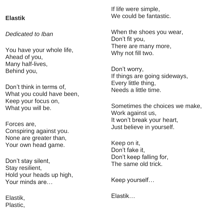#### **Elastik**

*Dedicated to Iban*

You have your whole life, Ahead of you, Many half-lives, Behind you,

Don't think in terms of, What you could have been. Keep your focus on, What you will be.

Forces are, Conspiring against you. None are greater than, Your own head game.

Don't stay silent, Stay resilient, Hold your heads up high, Your minds are…

Elastik, Plastic, If life were simple, We could be fantastic.

When the shoes you wear, Don't fit you, There are many more, Why not fill two.

Don't worry, If things are going sideways, Every little thing, Needs a little time.

Sometimes the choices we make, Work against us, It won't break your heart, Just believe in yourself.

Keep on it, Don't fake it, Don't keep falling for, The same old trick.

Keep yourself…

Elastik…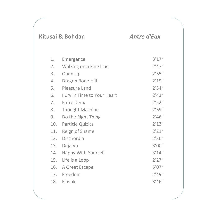#### **Kitusai & Bohdan** *Antre d'Eux*

| 2'47'' |
|--------|
| 2'55'' |
| 2'19'' |
| 2'34'' |
| 2'43'' |
| 2'52'' |
| 2'39'' |
| 2'46'' |
| 2'13'' |
| 2'21'' |
| 2'36'' |
| 3'00'' |
| 3'14'' |
| 2'27'' |
| 5'07'' |
| 2'49'' |
| 3'46'' |
|        |